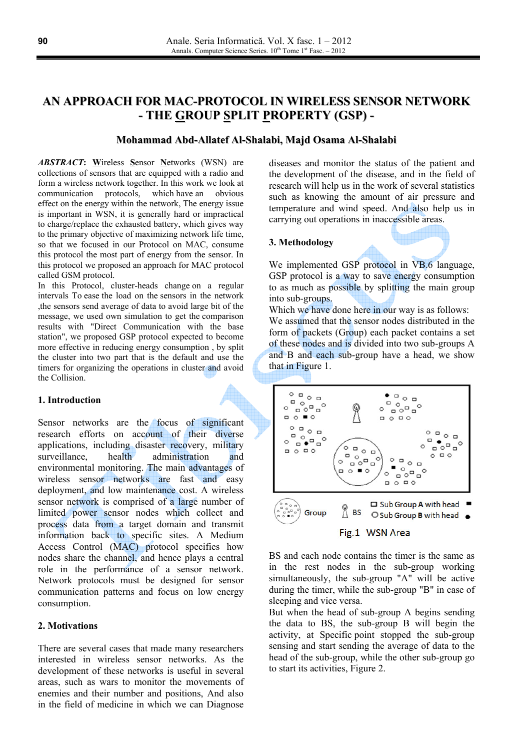# AN APPROACH FOR MAC-PROTOCOL IN WIRELESS SENSOR NETWORK - THE GROUP SPLIT PROPERTY (GSP) -

### Mohammad Abd-Allatef Al-Shalabi, Majd Osama Al-Shalabi

**ABSTRACT:** Wireless Sensor Networks (WSN) are collections of sensors that are equipped with a radio and form a wireless network together. In this work we look at communication protocols, which have an obvious effect on the energy within the network, The energy issue is important in WSN, it is generally hard or impractical to charge/replace the exhausted battery, which gives way to the primary objective of maximizing network life time, so that we focused in our Protocol on MAC, consume this protocol the most part of energy from the sensor. In this protocol we proposed an approach for MAC protocol called GSM protocol.

In this Protocol, cluster-heads change on a regular intervals To ease the load on the sensors in the network the sensors send average of data to avoid large bit of the message, we used own simulation to get the comparison results with "Direct Communication with the base station", we proposed GSP protocol expected to become more effective in reducing energy consumption, by split the cluster into two part that is the default and use the timers for organizing the operations in cluster and avoid the Collision.

#### 1. Introduction

Sensor networks are the focus of significant research efforts on account of their diverse applications, including disaster recovery, military surveillance health administration and environmental monitoring. The main advantages of wireless sensor networks are fast and easy deployment, and low maintenance cost. A wireless sensor network is comprised of a large number of limited power sensor nodes which collect and process data from a target domain and transmit information back to specific sites. A Medium Access Control (MAC) protocol specifies how nodes share the channel, and hence plays a central role in the performance of a sensor network. Network protocols must be designed for sensor communication patterns and focus on low energy consumption.

### 2. Motivations

There are several cases that made many researchers interested in wireless sensor networks. As the development of these networks is useful in several areas, such as wars to monitor the movements of enemies and their number and positions, And also in the field of medicine in which we can Diagnose diseases and monitor the status of the patient and the development of the disease, and in the field of research will help us in the work of several statistics such as knowing the amount of air pressure and temperature and wind speed. And also help us in carrying out operations in inaccessible areas.

### 3. Methodology

We implemented GSP protocol in VB.6 language, GSP protocol is a way to save energy consumption to as much as possible by splitting the main group into sub-groups.

Which we have done here in our way is as follows: We assumed that the sensor nodes distributed in the form of packets (Group) each packet contains a set of these nodes and is divided into two sub-groups A and B and each sub-group have a head, we show that in Figure 1.

 $\circ$   $\circ$   $\circ$   $\circ$  $\bullet$   $\circ$   $\circ$   $\circ$ "ຼິ⊳ັ<sup>ອ</sup>  $\circ$   $\bullet$   $\circ$   $\bullet$   $\bullet$  $\circ$  $\Box \circ \blacksquare \circ$  $\Box$  $\circ$  $\circ$   $\circ$   $\circ$   $\circ$  $\circ$   $\bullet$   $\bullet$   $\bullet$   $\bullet$  $\frac{1}{2}$   $\frac{1}{2}$   $\frac{1}{2}$   $\frac{1}{2}$   $\frac{1}{2}$  $\circ$  $\circ$  $\circ$   $\circ$  $\Box$  $\circ \circ \circ$ POPPO  $\circ$  $\bullet$  o Ξ  $\blacksquare$  $\circ$  $\circ$ ັ<sub>⊡</sub>°∘⊐  $\circ$  $\begin{array}{c} \square \ \square \ \square \ \square \end{array}$  $\Box$  Sub Group A with head  $%$ <sub>BS</sub> Group ○ Sub Group **B** with head ●



BS and each node contains the timer is the same as in the rest nodes in the sub-group working simultaneously, the sub-group "A" will be active during the timer, while the sub-group "B" in case of sleeping and vice versa.

But when the head of sub-group A begins sending the data to BS, the sub-group B will begin the activity, at Specific point stopped the sub-group sensing and start sending the average of data to the head of the sub-group, while the other sub-group go to start its activities, Figure 2.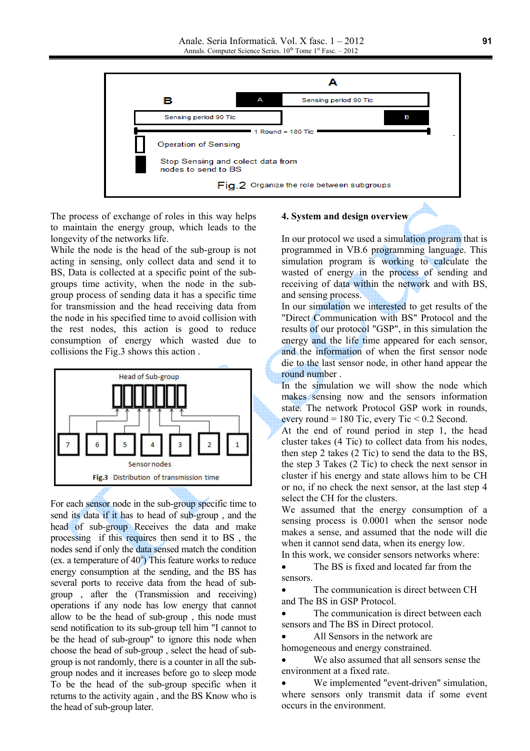

The process of exchange of roles in this way helps to maintain the energy group, which leads to the longevity of the networks life.

While the node is the head of the sub-group is not acting in sensing, only collect data and send it to BS, Data is collected at a specific point of the subgroups time activity, when the node in the subgroup process of sending data it has a specific time for transmission and the head receiving data from the node in his specified time to avoid collision with the rest nodes, this action is good to reduce consumption of energy which wasted due to collisions the Fig.3 shows this action.



For each sensor node in the sub-group specific time to send its data if it has to head of sub-group, and the head of sub-group Receives the data and make processing if this requires then send it to BS, the nodes send if only the data sensed match the condition (ex. a temperature of  $40^{\circ}$ ) This feature works to reduce energy consumption at the sending, and the BS has several ports to receive data from the head of subgroup, after the (Transmission and receiving) operations if any node has low energy that cannot allow to be the head of sub-group, this node must send notification to its sub-group tell him "I cannot to be the head of sub-group" to ignore this node when choose the head of sub-group, select the head of subgroup is not randomly, there is a counter in all the subgroup nodes and it increases before go to sleep mode To be the head of the sub-group specific when it returns to the activity again, and the BS Know who is the head of sub-group later.

### 4. System and design overview

In our protocol we used a simulation program that is programmed in VB.6 programming language. This simulation program is working to calculate the wasted of energy in the process of sending and receiving of data within the network and with BS, and sensing process.

In our simulation we interested to get results of the "Direct Communication with BS" Protocol and the results of our protocol "GSP", in this simulation the energy and the life time appeared for each sensor, and the information of when the first sensor node die to the last sensor node, in other hand appear the round number.

In the simulation we will show the node which makes sensing now and the sensors information state. The network Protocol GSP work in rounds, every round = 180 Tic, every Tic < 0.2 Second.

At the end of round period in step 1, the head cluster takes (4 Tic) to collect data from his nodes, then step 2 takes (2 Tic) to send the data to the BS, the step 3 Takes (2 Tic) to check the next sensor in cluster if his energy and state allows him to be CH or no, if no check the next sensor, at the last step 4 select the CH for the clusters.

We assumed that the energy consumption of a sensing process is 0.0001 when the sensor node makes a sense, and assumed that the node will die when it cannot send data, when its energy low.

In this work, we consider sensors networks where:

The BS is fixed and located far from the  $\bullet$ sensors

The communication is direct between CH and The BS in GSP Protocol.

The communication is direct between each sensors and The BS in Direct protocol.

All Sensors in the network are  $\bullet$ 

homogeneous and energy constrained. We also assumed that all sensors sense the

environment at a fixed rate.

We implemented "event-driven" simulation, where sensors only transmit data if some event occurs in the environment.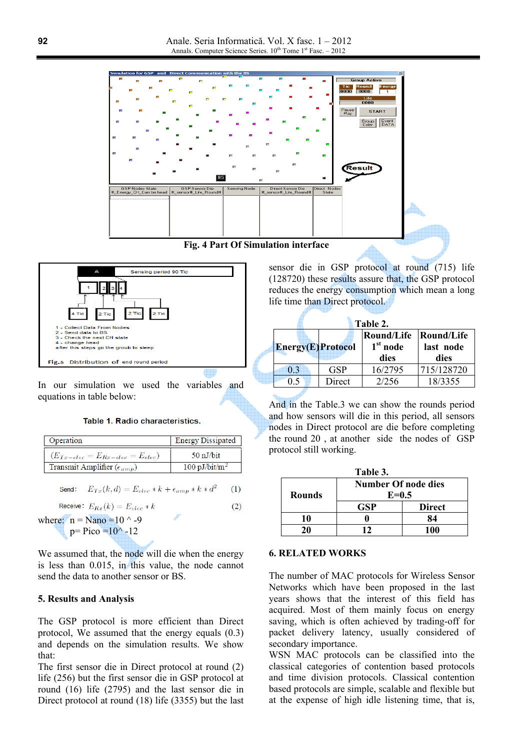



In our simulation we used the variables and equations in table below:

#### Table 1. Radio characteristics.

| Operation                                | <b>Energy Dissipated</b> |
|------------------------------------------|--------------------------|
| $(E_{Tx-elec} = E_{Rx-elec} = E_{elec})$ | 50 nJ/bit                |
| Transmit Amplifier ( $\epsilon_{amp}$ )  | $100 \text{ pJ/bit/m}^2$ |

$$
\text{Send:} \quad E_{Tx}(k,d) = E_{elec} * k + \epsilon_{amp} * k * d^2 \tag{1}
$$

Receive:  $E_{Rx}(k) = E_{elec} * k$  $(2)$ 

where:  $n =$ Nano = 10  $\land$  -9  $p = Pico = 10^{\circ} - 12$ 

We assumed that, the node will die when the energy is less than  $0.015$ , in this value, the node cannot send the data to another sensor or BS

### 5. Results and Analysis

The GSP protocol is more efficient than Direct protocol. We assumed that the energy equals  $(0.3)$ and depends on the simulation results. We show that:

The first sensor die in Direct protocol at round (2) life (256) but the first sensor die in GSP protocol at round (16) life (2795) and the last sensor die in Direct protocol at round (18) life (3355) but the last sensor die in GSP protocol at round (715) life (128720) these results assure that, the GSP protocol reduces the energy consumption which mean a long life time than Direct protocol.

| Table 2.           |            |                                         |                                 |  |
|--------------------|------------|-----------------------------------------|---------------------------------|--|
| Energy(E) Protocol |            | <b>Round/Life</b><br>$1st$ node<br>dies | Round/Life<br>last node<br>dies |  |
| 0 <sup>3</sup>     | <b>GSP</b> | 16/2795                                 | 715/128720                      |  |
|                    | Direct     | 2/256                                   | 18/3355                         |  |

And in the Table.3 we can show the rounds period and how sensors will die in this period, all sensors nodes in Direct protocol are die before completing the round 20, at another side the nodes of GSP protocol still working.

| Table 3.      |                            |               |  |  |  |
|---------------|----------------------------|---------------|--|--|--|
|               | <b>Number Of node dies</b> |               |  |  |  |
| <b>Rounds</b> | $E=0.5$                    |               |  |  |  |
|               | <b>GSP</b>                 | <b>Direct</b> |  |  |  |
| 10            |                            | 84            |  |  |  |
|               | 17                         | 100           |  |  |  |

### **6. RELATED WORKS**

The number of MAC protocols for Wireless Sensor Networks which have been proposed in the last years shows that the interest of this field has acquired. Most of them mainly focus on energy saving, which is often achieved by trading-off for packet delivery latency, usually considered of secondary importance.

WSN MAC protocols can be classified into the classical categories of contention based protocols and time division protocols. Classical contention based protocols are simple, scalable and flexible but at the expense of high idle listening time, that is,